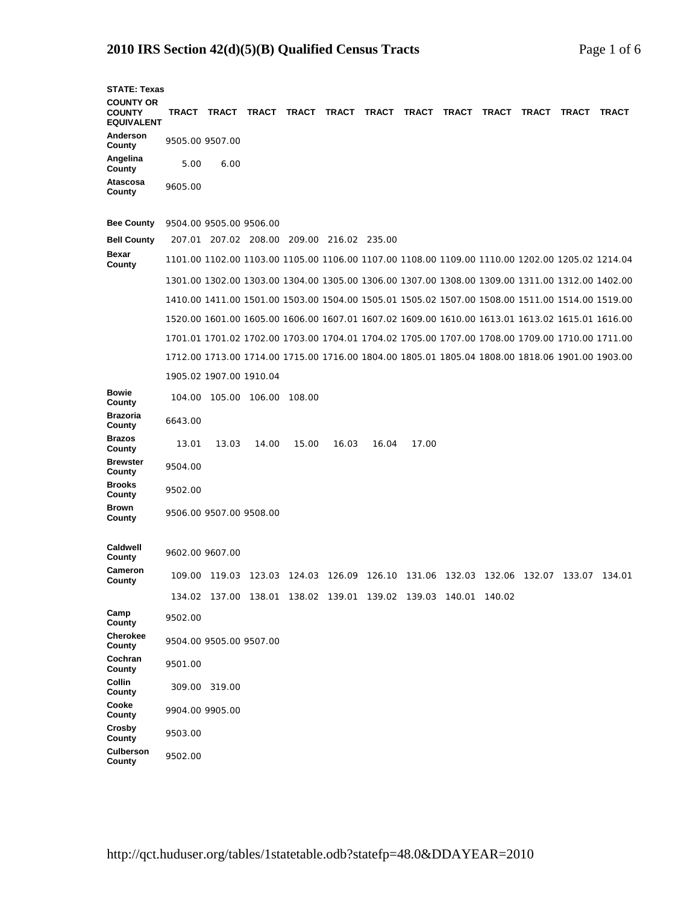## **2010 IRS Section 42(d)(5)(B) Qualified Census Tracts** Page 1 of 6

| <b>STATE: Texas</b>                                    |         |                                           |                                                        |                                                                |       |       |       |       |        |       |                                                                                                 |              |
|--------------------------------------------------------|---------|-------------------------------------------|--------------------------------------------------------|----------------------------------------------------------------|-------|-------|-------|-------|--------|-------|-------------------------------------------------------------------------------------------------|--------------|
| <b>COUNTY OR</b><br><b>COUNTY</b><br><b>EQUIVALENT</b> |         | TRACT TRACT                               |                                                        | TRACT TRACT TRACT TRACT                                        |       |       | TRACT | TRACT | TRACT  | TRACT | TRACT                                                                                           | <b>TRACT</b> |
| Anderson<br>County                                     |         | 9505.00 9507.00                           |                                                        |                                                                |       |       |       |       |        |       |                                                                                                 |              |
| Angelina<br>County                                     | 5.00    | 6.00                                      |                                                        |                                                                |       |       |       |       |        |       |                                                                                                 |              |
| Atascosa<br>County                                     | 9605.00 |                                           |                                                        |                                                                |       |       |       |       |        |       |                                                                                                 |              |
| <b>Bee County</b>                                      |         | 9504.00 9505.00 9506.00                   |                                                        |                                                                |       |       |       |       |        |       |                                                                                                 |              |
| <b>Bell County</b>                                     |         | 207.01 207.02 208.00 209.00 216.02 235.00 |                                                        |                                                                |       |       |       |       |        |       |                                                                                                 |              |
| Bexar<br>County                                        |         |                                           |                                                        |                                                                |       |       |       |       |        |       | 1101.00 1102.00 1103.00 1105.00 1106.00 1107.00 1108.00 1109.00 1110.00 1202.00 1205.02 1214.04 |              |
|                                                        |         |                                           |                                                        |                                                                |       |       |       |       |        |       | 1301.00 1302.00 1303.00 1304.00 1305.00 1306.00 1307.00 1308.00 1309.00 1311.00 1312.00 1402.00 |              |
|                                                        |         |                                           |                                                        |                                                                |       |       |       |       |        |       | 1410.00 1411.00 1501.00 1503.00 1504.00 1505.01 1505.02 1507.00 1508.00 1511.00 1514.00 1519.00 |              |
|                                                        |         |                                           |                                                        |                                                                |       |       |       |       |        |       | 1520.00 1601.00 1605.00 1606.00 1607.01 1607.02 1609.00 1610.00 1613.01 1613.02 1615.01 1616.00 |              |
|                                                        |         |                                           |                                                        |                                                                |       |       |       |       |        |       | 1701.01 1701.02 1702.00 1703.00 1704.01 1704.02 1705.00 1707.00 1708.00 1709.00 1710.00 1711.00 |              |
|                                                        |         |                                           |                                                        |                                                                |       |       |       |       |        |       | 1712.00 1713.00 1714.00 1715.00 1716.00 1804.00 1805.01 1805.04 1808.00 1818.06 1901.00 1903.00 |              |
|                                                        |         | 1905.02 1907.00 1910.04                   |                                                        |                                                                |       |       |       |       |        |       |                                                                                                 |              |
| <b>Bowie</b><br>County                                 | 104.00  |                                           | 105.00 106.00                                          | 108.00                                                         |       |       |       |       |        |       |                                                                                                 |              |
| <b>Brazoria</b><br>County                              | 6643.00 |                                           |                                                        |                                                                |       |       |       |       |        |       |                                                                                                 |              |
| <b>Brazos</b><br>County                                | 13.01   | 13.03                                     | 14.00                                                  | 15.00                                                          | 16.03 | 16.04 | 17.00 |       |        |       |                                                                                                 |              |
| <b>Brewster</b><br>County                              | 9504.00 |                                           |                                                        |                                                                |       |       |       |       |        |       |                                                                                                 |              |
| <b>Brooks</b><br>County                                | 9502.00 |                                           |                                                        |                                                                |       |       |       |       |        |       |                                                                                                 |              |
| Brown<br>County                                        |         | 9506.00 9507.00 9508.00                   |                                                        |                                                                |       |       |       |       |        |       |                                                                                                 |              |
| Caldwell<br>County                                     |         | 9602.00 9607.00                           |                                                        |                                                                |       |       |       |       |        |       |                                                                                                 |              |
| Cameron<br>County                                      |         | 109.00 119.03                             |                                                        | 123.03 124.03 126.09 126.10 131.06 132.03 132.06 132.07 133.07 |       |       |       |       |        |       |                                                                                                 | 134.01       |
|                                                        | 134.02  |                                           | 137.00  138.01  138.02  139.01  139.02  139.03  140.01 |                                                                |       |       |       |       | 140.02 |       |                                                                                                 |              |
| Camp<br>County                                         | 9502.00 |                                           |                                                        |                                                                |       |       |       |       |        |       |                                                                                                 |              |
| Cherokee<br>County                                     |         | 9504.00 9505.00 9507.00                   |                                                        |                                                                |       |       |       |       |        |       |                                                                                                 |              |
| Cochran<br>County                                      | 9501.00 |                                           |                                                        |                                                                |       |       |       |       |        |       |                                                                                                 |              |
| Collin<br>County                                       |         | 309.00 319.00                             |                                                        |                                                                |       |       |       |       |        |       |                                                                                                 |              |
| Cooke<br>County                                        |         | 9904.00 9905.00                           |                                                        |                                                                |       |       |       |       |        |       |                                                                                                 |              |
| <b>Crosby</b><br>County                                | 9503.00 |                                           |                                                        |                                                                |       |       |       |       |        |       |                                                                                                 |              |
| Culberson<br>County                                    | 9502.00 |                                           |                                                        |                                                                |       |       |       |       |        |       |                                                                                                 |              |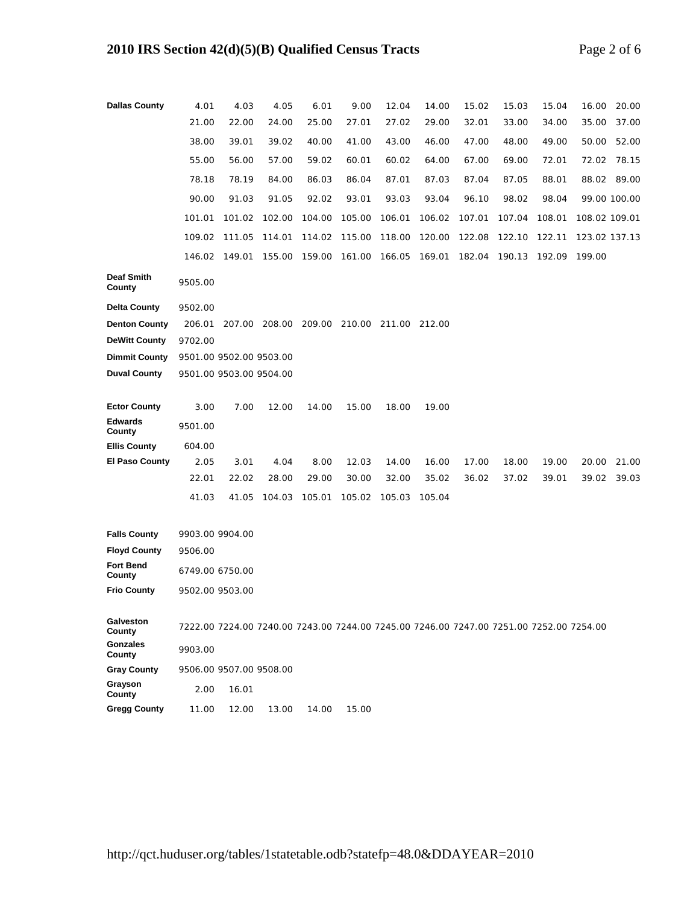| <b>Dallas County</b>                         | 4.01                                                                                    | 4.03   | 4.05          | 6.01   | 9.00          | 12.04  | 14.00  | 15.02  | 15.03  | 15.04  | 16.00         | 20.00        |  |
|----------------------------------------------|-----------------------------------------------------------------------------------------|--------|---------------|--------|---------------|--------|--------|--------|--------|--------|---------------|--------------|--|
|                                              | 21.00                                                                                   | 22.00  | 24.00         | 25.00  | 27.01         | 27.02  | 29.00  | 32.01  | 33.00  | 34.00  | 35.00         | 37.00        |  |
|                                              | 38.00                                                                                   | 39.01  | 39.02         | 40.00  | 41.00         | 43.00  | 46.00  | 47.00  | 48.00  | 49.00  | 50.00         | 52.00        |  |
|                                              | 55.00                                                                                   | 56.00  | 57.00         | 59.02  | 60.01         | 60.02  | 64.00  | 67.00  | 69.00  | 72.01  | 72.02         | 78.15        |  |
|                                              | 78.18                                                                                   | 78.19  | 84.00         | 86.03  | 86.04         | 87.01  | 87.03  | 87.04  | 87.05  | 88.01  |               | 88.02 89.00  |  |
|                                              | 90.00                                                                                   | 91.03  | 91.05         | 92.02  | 93.01         | 93.03  | 93.04  | 96.10  | 98.02  | 98.04  |               | 99.00 100.00 |  |
|                                              | 101.01                                                                                  | 101.02 | 102.00        | 104.00 | 105.00        | 106.01 | 106.02 | 107.01 | 107.04 | 108.01 | 108.02 109.01 |              |  |
|                                              | 109.02                                                                                  | 111.05 | 114.01        | 114.02 | 115.00        | 118.00 | 120.00 | 122.08 | 122.10 | 122.11 | 123.02 137.13 |              |  |
|                                              | 146.02                                                                                  | 149.01 | 155.00        | 159.00 | 161.00        | 166.05 | 169.01 | 182.04 | 190.13 | 192.09 | 199.00        |              |  |
| <b>Deaf Smith</b><br>County                  | 9505.00                                                                                 |        |               |        |               |        |        |        |        |        |               |              |  |
| <b>Delta County</b>                          | 9502.00                                                                                 |        |               |        |               |        |        |        |        |        |               |              |  |
| <b>Denton County</b>                         | 206.01                                                                                  |        | 207.00 208.00 | 209.00 | 210.00 211.00 |        | 212.00 |        |        |        |               |              |  |
| <b>DeWitt County</b>                         | 9702.00                                                                                 |        |               |        |               |        |        |        |        |        |               |              |  |
| <b>Dimmit County</b>                         | 9501.00 9502.00 9503.00                                                                 |        |               |        |               |        |        |        |        |        |               |              |  |
| <b>Duval County</b>                          | 9501.00 9503.00 9504.00                                                                 |        |               |        |               |        |        |        |        |        |               |              |  |
| <b>Ector County</b>                          | 3.00                                                                                    | 7.00   | 12.00         | 14.00  | 15.00         | 18.00  | 19.00  |        |        |        |               |              |  |
| <b>Edwards</b>                               | 9501.00                                                                                 |        |               |        |               |        |        |        |        |        |               |              |  |
| County                                       |                                                                                         |        |               |        |               |        |        |        |        |        |               |              |  |
| <b>Ellis County</b><br><b>El Paso County</b> | 604.00<br>2.05                                                                          | 3.01   | 4.04          | 8.00   | 12.03         | 14.00  | 16.00  | 17.00  | 18.00  | 19.00  | 20.00         | 21.00        |  |
|                                              | 22.01                                                                                   | 22.02  | 28.00         | 29.00  | 30.00         | 32.00  | 35.02  | 36.02  | 37.02  | 39.01  | 39.02         | 39.03        |  |
|                                              | 41.03                                                                                   | 41.05  | 104.03        | 105.01 | 105.02        | 105.03 | 105.04 |        |        |        |               |              |  |
|                                              |                                                                                         |        |               |        |               |        |        |        |        |        |               |              |  |
| <b>Falls County</b>                          | 9903.00 9904.00                                                                         |        |               |        |               |        |        |        |        |        |               |              |  |
| <b>Floyd County</b>                          | 9506.00                                                                                 |        |               |        |               |        |        |        |        |        |               |              |  |
| <b>Fort Bend</b><br>County                   | 6749.00 6750.00                                                                         |        |               |        |               |        |        |        |        |        |               |              |  |
| <b>Frio County</b>                           | 9502.00 9503.00                                                                         |        |               |        |               |        |        |        |        |        |               |              |  |
| Galveston                                    |                                                                                         |        |               |        |               |        |        |        |        |        |               |              |  |
| County                                       | 7222.00 7224.00 7240.00 7243.00 7244.00 7245.00 7246.00 7247.00 7251.00 7252.00 7254.00 |        |               |        |               |        |        |        |        |        |               |              |  |
| <b>Gonzales</b><br>County                    | 9903.00                                                                                 |        |               |        |               |        |        |        |        |        |               |              |  |
| <b>Gray County</b>                           | 9506.00 9507.00 9508.00                                                                 |        |               |        |               |        |        |        |        |        |               |              |  |
| Grayson<br>County                            | 2.00                                                                                    | 16.01  |               |        |               |        |        |        |        |        |               |              |  |
| <b>Gregg County</b>                          | 11.00                                                                                   | 12.00  | 13.00         | 14.00  | 15.00         |        |        |        |        |        |               |              |  |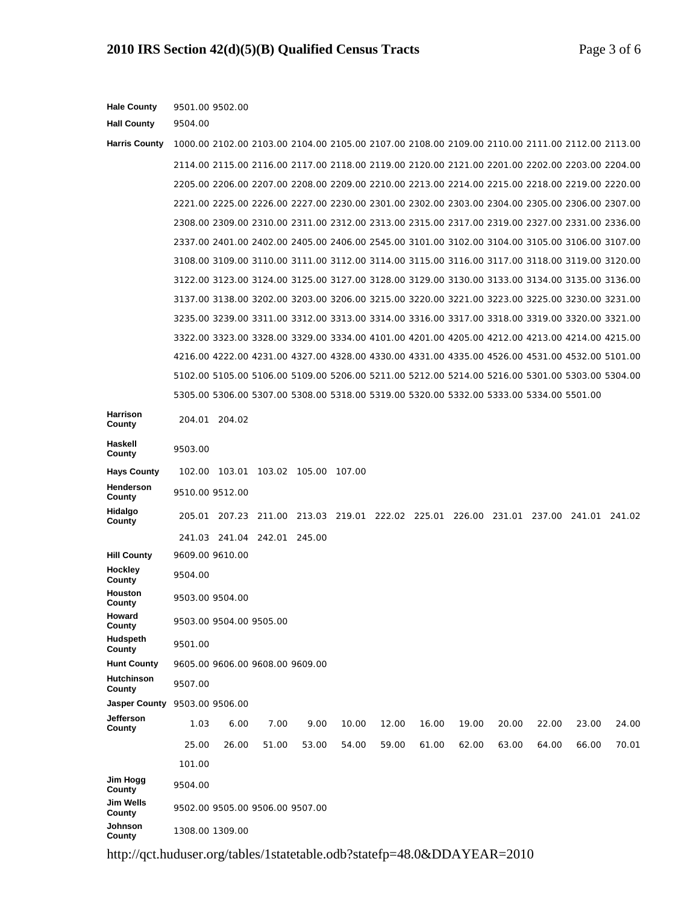| <b>Hale County</b>          | 9501.00 9502.00                                                                                 |        |        |                      |                             |       |       |       |               |        |        |        |
|-----------------------------|-------------------------------------------------------------------------------------------------|--------|--------|----------------------|-----------------------------|-------|-------|-------|---------------|--------|--------|--------|
| <b>Hall County</b>          | 9504.00                                                                                         |        |        |                      |                             |       |       |       |               |        |        |        |
| <b>Harris County</b>        | 1000.00 2102.00 2103.00 2104.00 2105.00 2107.00 2108.00 2109.00 2110.00 2111.00 2112.00 2113.00 |        |        |                      |                             |       |       |       |               |        |        |        |
|                             | 2114.00 2115.00 2116.00 2117.00 2118.00 2119.00 2120.00 2121.00 2201.00 2202.00 2203.00 2204.00 |        |        |                      |                             |       |       |       |               |        |        |        |
|                             | 2205.00 2206.00 2207.00 2208.00 2209.00 2210.00 2213.00 2214.00 2215.00 2218.00 2219.00 2220.00 |        |        |                      |                             |       |       |       |               |        |        |        |
|                             | 2221.00 2225.00 2226.00 2227.00 2230.00 2301.00 2302.00 2303.00 2304.00 2305.00 2306.00 2307.00 |        |        |                      |                             |       |       |       |               |        |        |        |
|                             | 2308.00 2309.00 2310.00 2311.00 2312.00 2313.00 2315.00 2317.00 2319.00 2327.00 2331.00 2336.00 |        |        |                      |                             |       |       |       |               |        |        |        |
|                             | 2337.00 2401.00 2402.00 2405.00 2406.00 2545.00 3101.00 3102.00 3104.00 3105.00 3106.00 3107.00 |        |        |                      |                             |       |       |       |               |        |        |        |
|                             | 3108.00 3109.00 3110.00 3111.00 3112.00 3114.00 3115.00 3116.00 3117.00 3118.00 3119.00 3120.00 |        |        |                      |                             |       |       |       |               |        |        |        |
|                             | 3122.00 3123.00 3124.00 3125.00 3127.00 3128.00 3129.00 3130.00 3133.00 3134.00 3135.00 3136.00 |        |        |                      |                             |       |       |       |               |        |        |        |
|                             | 3137.00 3138.00 3202.00 3203.00 3206.00 3215.00 3220.00 3221.00 3223.00 3225.00 3230.00 3231.00 |        |        |                      |                             |       |       |       |               |        |        |        |
|                             | 3235.00 3239.00 3311.00 3312.00 3313.00 3314.00 3316.00 3317.00 3318.00 3319.00 3320.00 3321.00 |        |        |                      |                             |       |       |       |               |        |        |        |
|                             | 3322.00 3323.00 3328.00 3329.00 3334.00 4101.00 4201.00 4205.00 4212.00 4213.00 4214.00 4215.00 |        |        |                      |                             |       |       |       |               |        |        |        |
|                             | 4216.00 4222.00 4231.00 4327.00 4328.00 4330.00 4331.00 4335.00 4526.00 4531.00 4532.00 5101.00 |        |        |                      |                             |       |       |       |               |        |        |        |
|                             | 5102.00 5105.00 5106.00 5109.00 5206.00 5211.00 5212.00 5214.00 5216.00 5301.00 5303.00 5304.00 |        |        |                      |                             |       |       |       |               |        |        |        |
|                             | 5305.00 5306.00 5307.00 5308.00 5318.00 5319.00 5320.00 5332.00 5333.00 5334.00 5501.00         |        |        |                      |                             |       |       |       |               |        |        |        |
| Harrison<br>County          | 204.01 204.02                                                                                   |        |        |                      |                             |       |       |       |               |        |        |        |
| Haskell<br>County           | 9503.00                                                                                         |        |        |                      |                             |       |       |       |               |        |        |        |
| <b>Hays County</b>          | 102.00                                                                                          | 103.01 |        | 103.02 105.00 107.00 |                             |       |       |       |               |        |        |        |
| Henderson<br>County         | 9510.00 9512.00                                                                                 |        |        |                      |                             |       |       |       |               |        |        |        |
| Hidalgo<br>County           | 205.01                                                                                          | 207.23 | 211.00 |                      | 213.03 219.01 222.02 225.01 |       |       |       | 226.00 231.01 | 237.00 | 241.01 | 241.02 |
|                             | 241.03 241.04 242.01                                                                            |        |        | 245.00               |                             |       |       |       |               |        |        |        |
| <b>Hill County</b>          | 9609.00 9610.00                                                                                 |        |        |                      |                             |       |       |       |               |        |        |        |
| Hockley<br>County           | 9504.00                                                                                         |        |        |                      |                             |       |       |       |               |        |        |        |
| Houston<br>County           | 9503.00 9504.00                                                                                 |        |        |                      |                             |       |       |       |               |        |        |        |
| Howard<br>County            | 9503.00 9504.00 9505.00                                                                         |        |        |                      |                             |       |       |       |               |        |        |        |
| Hudspeth<br>County          | 9501.00                                                                                         |        |        |                      |                             |       |       |       |               |        |        |        |
| <b>Hunt County</b>          | 9605.00 9606.00 9608.00 9609.00                                                                 |        |        |                      |                             |       |       |       |               |        |        |        |
| <b>Hutchinson</b><br>County | 9507.00                                                                                         |        |        |                      |                             |       |       |       |               |        |        |        |
| <b>Jasper County</b>        | 9503.00 9506.00                                                                                 |        |        |                      |                             |       |       |       |               |        |        |        |
| Jefferson<br>County         | 1.03                                                                                            | 6.00   | 7.00   | 9.00                 | 10.00                       | 12.00 | 16.00 | 19.00 | 20.00         | 22.00  | 23.00  | 24.00  |
|                             | 25.00                                                                                           | 26.00  | 51.00  | 53.00                | 54.00                       | 59.00 | 61.00 | 62.00 | 63.00         | 64.00  | 66.00  | 70.01  |
|                             | 101.00                                                                                          |        |        |                      |                             |       |       |       |               |        |        |        |
| Jim Hogg<br>County          | 9504.00                                                                                         |        |        |                      |                             |       |       |       |               |        |        |        |
| Jim Wells<br>County         | 9502.00 9505.00 9506.00 9507.00                                                                 |        |        |                      |                             |       |       |       |               |        |        |        |
| Johnson<br>County           | 1308.00 1309.00                                                                                 |        |        |                      |                             |       |       |       |               |        |        |        |

http://qct.huduser.org/tables/1statetable.odb?statefp=48.0&DDAYEAR=2010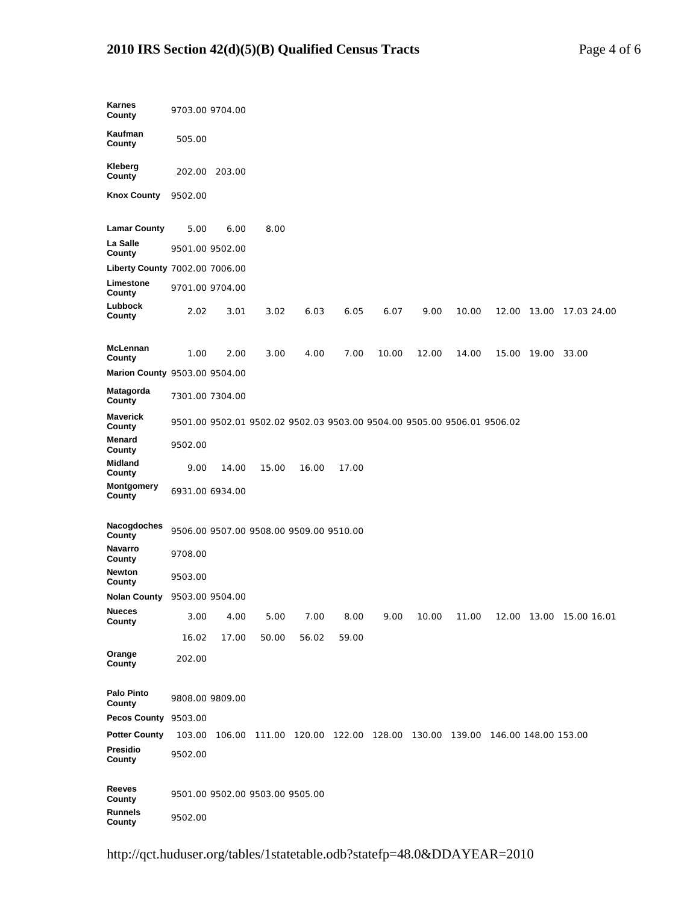## **2010 IRS Section 42(d)(5)(B) Qualified Census Tracts** Page 4 of 6

| Karnes<br>County               |                 | 9703.00 9704.00                 |       |                                         |                                                                                |       |       |       |       |       |                         |
|--------------------------------|-----------------|---------------------------------|-------|-----------------------------------------|--------------------------------------------------------------------------------|-------|-------|-------|-------|-------|-------------------------|
| Kaufman<br>County              | 505.00          |                                 |       |                                         |                                                                                |       |       |       |       |       |                         |
| Kleberg<br>County              | 202.00          | 203.00                          |       |                                         |                                                                                |       |       |       |       |       |                         |
| <b>Knox County</b>             | 9502.00         |                                 |       |                                         |                                                                                |       |       |       |       |       |                         |
| <b>Lamar County</b>            | 5.00            | 6.00                            | 8.00  |                                         |                                                                                |       |       |       |       |       |                         |
| La Salle<br>County             | 9501.00 9502.00 |                                 |       |                                         |                                                                                |       |       |       |       |       |                         |
| Liberty County 7002.00 7006.00 |                 |                                 |       |                                         |                                                                                |       |       |       |       |       |                         |
| Limestone<br>County            |                 | 9701.00 9704.00                 |       |                                         |                                                                                |       |       |       |       |       |                         |
| Lubbock<br>County              | 2.02            | 3.01                            | 3.02  | 6.03                                    | 6.05                                                                           | 6.07  | 9.00  | 10.00 | 12.00 | 13.00 | 17.03 24.00             |
| McLennan<br>County             | 1.00            | 2.00                            | 3.00  | 4.00                                    | 7.00                                                                           | 10.00 | 12.00 | 14.00 | 15.00 | 19.00 | 33.00                   |
| Marion County 9503.00 9504.00  |                 |                                 |       |                                         |                                                                                |       |       |       |       |       |                         |
| Matagorda<br>County            | 7301.00 7304.00 |                                 |       |                                         |                                                                                |       |       |       |       |       |                         |
| Maverick<br>County             |                 |                                 |       |                                         | 9501.00 9502.01 9502.02 9502.03 9503.00 9504.00 9505.00 9506.01 9506.02        |       |       |       |       |       |                         |
| Menard<br>County               | 9502.00         |                                 |       |                                         |                                                                                |       |       |       |       |       |                         |
| Midland<br>County              | 9.00            | 14.00                           | 15.00 | 16.00                                   | 17.00                                                                          |       |       |       |       |       |                         |
| Montgomery<br>County           |                 | 6931.00 6934.00                 |       |                                         |                                                                                |       |       |       |       |       |                         |
| Nacogdoches<br>County          |                 |                                 |       | 9506.00 9507.00 9508.00 9509.00 9510.00 |                                                                                |       |       |       |       |       |                         |
| <b>Navarro</b><br>County       | 9708.00         |                                 |       |                                         |                                                                                |       |       |       |       |       |                         |
| Newton<br>County               | 9503.00         |                                 |       |                                         |                                                                                |       |       |       |       |       |                         |
| Nolan County 9503.00 9504.00   |                 |                                 |       |                                         |                                                                                |       |       |       |       |       |                         |
| <b>Nueces</b><br>County        | 3.00            | 4.00                            | 5.00  | 7.00                                    | 8.00                                                                           | 9.00  | 10.00 | 11.00 |       |       | 12.00 13.00 15.00 16.01 |
|                                | 16.02           | 17.00                           | 50.00 | 56.02                                   | 59.00                                                                          |       |       |       |       |       |                         |
| Orange<br>County               | 202.00          |                                 |       |                                         |                                                                                |       |       |       |       |       |                         |
| Palo Pinto<br>County           |                 | 9808.00 9809.00                 |       |                                         |                                                                                |       |       |       |       |       |                         |
| Pecos County 9503.00           |                 |                                 |       |                                         |                                                                                |       |       |       |       |       |                         |
| <b>Potter County</b>           | 103.00          |                                 |       |                                         | 106.00  111.00  120.00  122.00  128.00  130.00  139.00  146.00  148.00  153.00 |       |       |       |       |       |                         |
| Presidio<br>County             | 9502.00         |                                 |       |                                         |                                                                                |       |       |       |       |       |                         |
| Reeves<br>County               |                 | 9501.00 9502.00 9503.00 9505.00 |       |                                         |                                                                                |       |       |       |       |       |                         |
| <b>Runnels</b><br>County       | 9502.00         |                                 |       |                                         |                                                                                |       |       |       |       |       |                         |

http://qct.huduser.org/tables/1statetable.odb?statefp=48.0&DDAYEAR=2010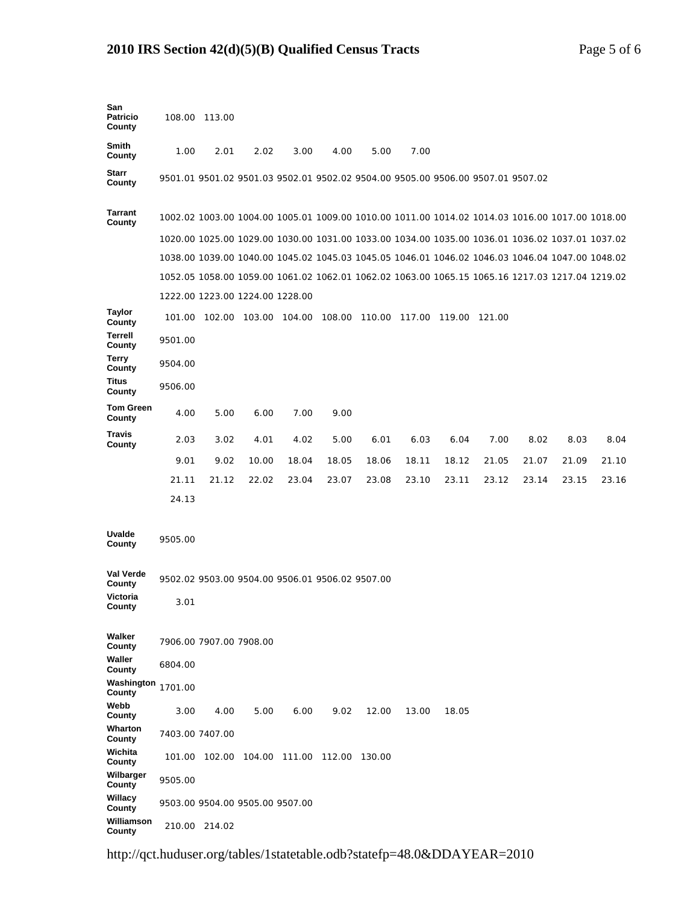## **2010 IRS Section 42(d)(5)(B) Qualified Census Tracts** Page 5 of 6

| San<br><b>Patricio</b><br>County |         | 108.00 113.00                   |                      |        |                                                 |        |        |                                                                                 |        |       |                                                                                                 |       |
|----------------------------------|---------|---------------------------------|----------------------|--------|-------------------------------------------------|--------|--------|---------------------------------------------------------------------------------|--------|-------|-------------------------------------------------------------------------------------------------|-------|
| Smith<br>County                  | 1.00    | 2.01                            | 2.02                 | 3.00   | 4.00                                            | 5.00   | 7.00   |                                                                                 |        |       |                                                                                                 |       |
| <b>Starr</b><br>County           |         |                                 |                      |        |                                                 |        |        | 9501.01 9501.02 9501.03 9502.01 9502.02 9504.00 9505.00 9506.00 9507.01 9507.02 |        |       |                                                                                                 |       |
| <b>Tarrant</b><br>County         |         |                                 |                      |        |                                                 |        |        |                                                                                 |        |       | 1002.02 1003.00 1004.00 1005.01 1009.00 1010.00 1011.00 1014.02 1014.03 1016.00 1017.00 1018.00 |       |
|                                  |         |                                 |                      |        |                                                 |        |        |                                                                                 |        |       | 1020.00 1025.00 1029.00 1030.00 1031.00 1033.00 1034.00 1035.00 1036.01 1036.02 1037.01 1037.02 |       |
|                                  |         |                                 |                      |        |                                                 |        |        |                                                                                 |        |       | 1038.00 1039.00 1040.00 1045.02 1045.03 1045.05 1046.01 1046.02 1046.03 1046.04 1047.00 1048.02 |       |
|                                  |         |                                 |                      |        |                                                 |        |        |                                                                                 |        |       | 1052.05 1058.00 1059.00 1061.02 1062.01 1062.02 1063.00 1065.15 1065.16 1217.03 1217.04 1219.02 |       |
|                                  |         | 1222.00 1223.00 1224.00 1228.00 |                      |        |                                                 |        |        |                                                                                 |        |       |                                                                                                 |       |
| <b>Taylor</b><br>County          | 101.00  |                                 | 102.00 103.00 104.00 |        | 108.00                                          | 110.00 | 117.00 | 119.00                                                                          | 121.00 |       |                                                                                                 |       |
| Terrell<br>County                | 9501.00 |                                 |                      |        |                                                 |        |        |                                                                                 |        |       |                                                                                                 |       |
| <b>Terry</b><br>County           | 9504.00 |                                 |                      |        |                                                 |        |        |                                                                                 |        |       |                                                                                                 |       |
| Titus<br>County                  | 9506.00 |                                 |                      |        |                                                 |        |        |                                                                                 |        |       |                                                                                                 |       |
| <b>Tom Green</b><br>County       | 4.00    | 5.00                            | 6.00                 | 7.00   | 9.00                                            |        |        |                                                                                 |        |       |                                                                                                 |       |
| <b>Travis</b><br>County          | 2.03    | 3.02                            | 4.01                 | 4.02   | 5.00                                            | 6.01   | 6.03   | 6.04                                                                            | 7.00   | 8.02  | 8.03                                                                                            | 8.04  |
|                                  | 9.01    | 9.02                            | 10.00                | 18.04  | 18.05                                           | 18.06  | 18.11  | 18.12                                                                           | 21.05  | 21.07 | 21.09                                                                                           | 21.10 |
|                                  | 21.11   | 21.12                           | 22.02                | 23.04  | 23.07                                           | 23.08  | 23.10  | 23.11                                                                           | 23.12  | 23.14 | 23.15                                                                                           | 23.16 |
|                                  | 24.13   |                                 |                      |        |                                                 |        |        |                                                                                 |        |       |                                                                                                 |       |
| Uvalde<br>County                 | 9505.00 |                                 |                      |        |                                                 |        |        |                                                                                 |        |       |                                                                                                 |       |
| Val Verde<br>County              |         |                                 |                      |        | 9502.02 9503.00 9504.00 9506.01 9506.02 9507.00 |        |        |                                                                                 |        |       |                                                                                                 |       |
| Victoria<br>County               | 3.01    |                                 |                      |        |                                                 |        |        |                                                                                 |        |       |                                                                                                 |       |
| Walker<br>County                 |         | 7906.00 7907.00 7908.00         |                      |        |                                                 |        |        |                                                                                 |        |       |                                                                                                 |       |
| Waller<br>County                 | 6804.00 |                                 |                      |        |                                                 |        |        |                                                                                 |        |       |                                                                                                 |       |
| Washington<br>County             | 1701.00 |                                 |                      |        |                                                 |        |        |                                                                                 |        |       |                                                                                                 |       |
| Webb<br>County                   | 3.00    | 4.00                            | 5.00                 | 6.00   | 9.02                                            | 12.00  | 13.00  | 18.05                                                                           |        |       |                                                                                                 |       |
| Wharton<br>County                |         | 7403.00 7407.00                 |                      |        |                                                 |        |        |                                                                                 |        |       |                                                                                                 |       |
| Wichita<br>County                | 101.00  | 102.00                          | 104.00               | 111.00 | 112.00                                          | 130.00 |        |                                                                                 |        |       |                                                                                                 |       |
| Wilbarger<br>County              | 9505.00 |                                 |                      |        |                                                 |        |        |                                                                                 |        |       |                                                                                                 |       |
| Willacy<br>County                |         | 9503.00 9504.00 9505.00 9507.00 |                      |        |                                                 |        |        |                                                                                 |        |       |                                                                                                 |       |
| Williamson<br>County             |         | 210.00 214.02                   |                      |        |                                                 |        |        |                                                                                 |        |       |                                                                                                 |       |

http://qct.huduser.org/tables/1statetable.odb?statefp=48.0&DDAYEAR=2010